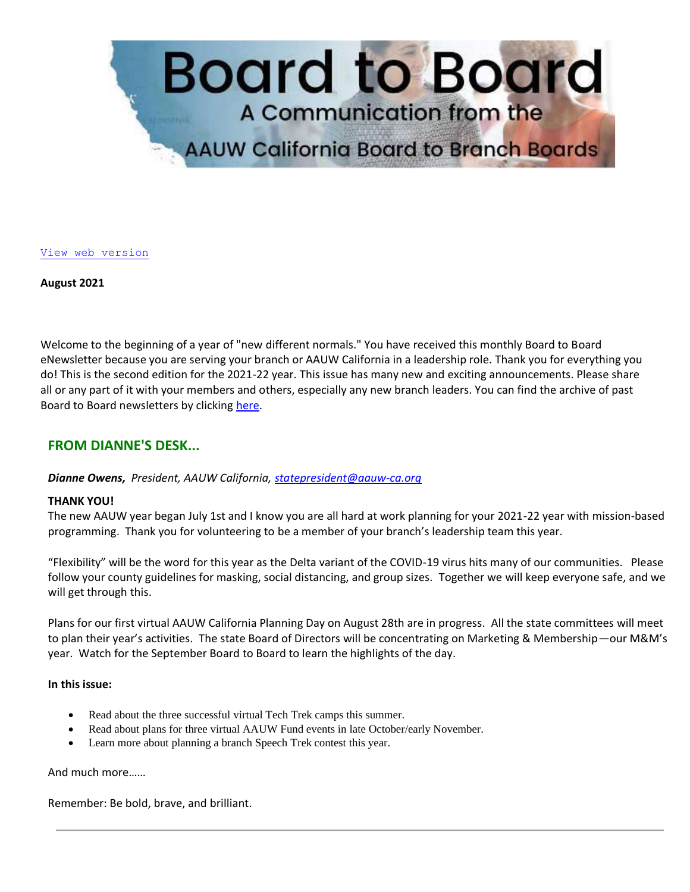

[View web version](https://bor.aauw-ca.org/sendy/w/YlrJ763AeyF892b51vFm0EptRw/4FDFL4S593H7oWC6rDwDxg/dUz0LM42x9DZBwdO1z1TTA)

**August 2021**

Welcome to the beginning of a year of "new different normals." You have received this monthly Board to Board eNewsletter because you are serving your branch or AAUW California in a leadership role. Thank you for everything you do! This is the second edition for the 2021-22 year. This issue has many new and exciting announcements. Please share all or any part of it with your members and others, especially any new branch leaders. You can find the archive of past Board to Board newsletters by clicking [here.](https://bor.aauw-ca.org/sendy/l/YlrJ763AeyF892b51vFm0EptRw/892ic892HhvMpRxJMHpbTWWWjw/dUz0LM42x9DZBwdO1z1TTA)

## **FROM DIANNE'S DESK...**

*Dianne Owens, President, AAUW California, [statepresident@aauw-ca.org](mailto:statepresident@aauw-ca.org)*

## **THANK YOU!**

The new AAUW year began July 1st and I know you are all hard at work planning for your 2021-22 year with mission-based programming. Thank you for volunteering to be a member of your branch's leadership team this year.

"Flexibility" will be the word for this year as the Delta variant of the COVID-19 virus hits many of our communities. Please follow your county guidelines for masking, social distancing, and group sizes. Together we will keep everyone safe, and we will get through this.

Plans for our first virtual AAUW California Planning Day on August 28th are in progress. All the state committees will meet to plan their year's activities. The state Board of Directors will be concentrating on Marketing & Membership—our M&M's year. Watch for the September Board to Board to learn the highlights of the day.

## **In this issue:**

- Read about the three successful virtual Tech Trek camps this summer.
- Read about plans for three virtual AAUW Fund events in late October/early November.
- Learn more about planning a branch Speech Trek contest this year.

## And much more……

Remember: Be bold, brave, and brilliant.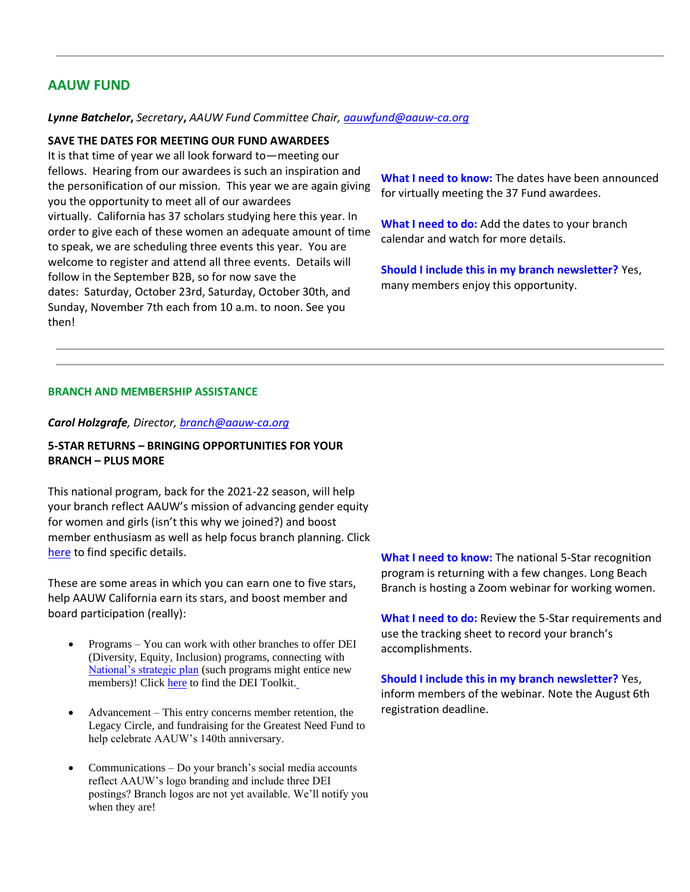## **AAUW FUND**

#### *Lynne Batchelor***,** *Secretary***,** *AAUW Fund Committee Chair, [aauwfund@aauw-ca.org](mailto:aauwfund@aauw-ca.org)*

#### **SAVE THE DATES FOR MEETING OUR FUND AWARDEES**

It is that time of year we all look forward to—meeting our fellows. Hearing from our awardees is such an inspiration and the personification of our mission. This year we are again giving you the opportunity to meet all of our awardees virtually. California has 37 scholars studying here this year. In order to give each of these women an adequate amount of time to speak, we are scheduling three events this year. You are welcome to register and attend all three events. Details will follow in the September B2B, so for now save the dates: Saturday, October 23rd, Saturday, October 30th, and Sunday, November 7th each from 10 a.m. to noon. See you then!

**What I need to know:** The dates have been announced for virtually meeting the 37 Fund awardees.

**What I need to do:** Add the dates to your branch calendar and watch for more details.

**Should I include this in my branch newsletter?** Yes, many members enjoy this opportunity.

#### **BRANCH AND MEMBERSHIP ASSISTANCE**

#### *Carol Holzgrafe, Director, [branch@aauw-ca.org](mailto:branch@aauw-ca.org)*

### **5-STAR RETURNS – BRINGING OPPORTUNITIES FOR YOUR BRANCH – PLUS MORE**

This national program, back for the 2021-22 season, will help your branch reflect AAUW's mission of advancing gender equity for women and girls (isn't this why we joined?) and boost member enthusiasm as well as help focus branch planning. Click [here](https://bor.aauw-ca.org/sendy/l/YlrJ763AeyF892b51vFm0EptRw/PYyfQiKtJwQjsEzQ8YiG9g/dUz0LM42x9DZBwdO1z1TTA) to find specific details.

These are some areas in which you can earn one to five stars, help AAUW California earn its stars, and boost member and board participation (really):

- Programs You can work with other branches to offer DEI (Diversity, Equity, Inclusion) programs, connecting with [National's strategic plan](https://bor.aauw-ca.org/sendy/l/YlrJ763AeyF892b51vFm0EptRw/tN3jGluunVYw81kILByXQA/dUz0LM42x9DZBwdO1z1TTA) (such programs might entice new members)! Clic[k here](https://bor.aauw-ca.org/sendy/l/YlrJ763AeyF892b51vFm0EptRw/JxsGiJouA0cOJ7FKnsOdUA/dUz0LM42x9DZBwdO1z1TTA) to find the DEI Toolkit[.](https://bor.aauw-ca.org/sendy/l/YlrJ763AeyF892b51vFm0EptRw/JxsGiJouA0cOJ7FKnsOdUA/dUz0LM42x9DZBwdO1z1TTA)
- Advancement This entry concerns member retention, the Legacy Circle, and fundraising for the Greatest Need Fund to help celebrate AAUW's 140th anniversary.
- Communications Do your branch's social media accounts reflect AAUW's logo branding and include three DEI postings? Branch logos are not yet available. We'll notify you when they are!

**What I need to know:** The national 5-Star recognition program is returning with a few changes. Long Beach Branch is hosting a Zoom webinar for working women.

**What I need to do:** Review the 5-Star requirements and use the tracking sheet to record your branch's accomplishments.

**Should I include this in my branch newsletter?** Yes, inform members of the webinar. Note the August 6th registration deadline.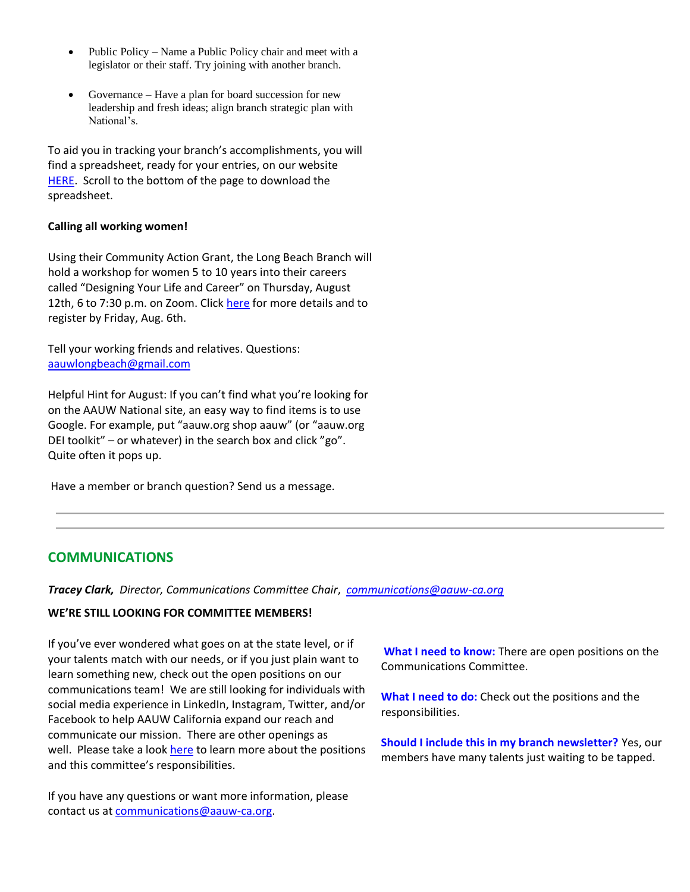- Public Policy Name a Public Policy chair and meet with a legislator or their staff. Try joining with another branch.
- Governance Have a plan for board succession for new leadership and fresh ideas; align branch strategic plan with National's.

To aid you in tracking your branch's accomplishments, you will find a spreadsheet, ready for your entries, on our website [HERE.](https://bor.aauw-ca.org/sendy/l/YlrJ763AeyF892b51vFm0EptRw/Abevaf892RVWffgktl892xpQgA/dUz0LM42x9DZBwdO1z1TTA) Scroll to the bottom of the page to download the spreadsheet.

## **Calling all working women!**

Using their Community Action Grant, the Long Beach Branch will hold a workshop for women 5 to 10 years into their careers called "Designing Your Life and Career" on Thursday, August 12th, 6 to 7:30 p.m. on Zoom. Click [here](https://bor.aauw-ca.org/sendy/l/YlrJ763AeyF892b51vFm0EptRw/OT6tl6UjD6kUCzJjVwclAw/dUz0LM42x9DZBwdO1z1TTA) for more details and to register by Friday, Aug. 6th.

Tell your working friends and relatives. Questions: [aauwlongbeach@gmail.com](mailto:aauwlongbeach@gmail.com)

Helpful Hint for August: If you can't find what you're looking for on the AAUW National site, an easy way to find items is to use Google. For example, put "aauw.org shop aauw" (or "aauw.org DEI toolkit" – or whatever) in the search box and click "go". Quite often it pops up.

Have a member or branch question? Send us a message.

## **COMMUNICATIONS**

*Tracey Clark, Director, Communications Committee Chair*, *[communications@aauw-ca.org](mailto:Communications@aauw-ca.org)*

## **WE'RE STILL LOOKING FOR COMMITTEE MEMBERS!**

If you've ever wondered what goes on at the state level, or if your talents match with our needs, or if you just plain want to learn something new, check out the open positions on our communications team! We are still looking for individuals with social media experience in LinkedIn, Instagram, Twitter, and/or Facebook to help AAUW California expand our reach and communicate our mission. There are other openings as well. Please take a look [here](https://bor.aauw-ca.org/sendy/l/YlrJ763AeyF892b51vFm0EptRw/Oof76351Z5TYdDR68MrY7kxQ/dUz0LM42x9DZBwdO1z1TTA) to learn more about the positions and this committee's responsibilities.

If you have any questions or want more information, please contact us a[t communications@aauw-ca.org.](mailto:Communications@aauw-ca.org)

**What I need to know:** There are open positions on the Communications Committee.

**What I need to do:** Check out the positions and the responsibilities.

**Should I include this in my branch newsletter?** Yes, our members have many talents just waiting to be tapped.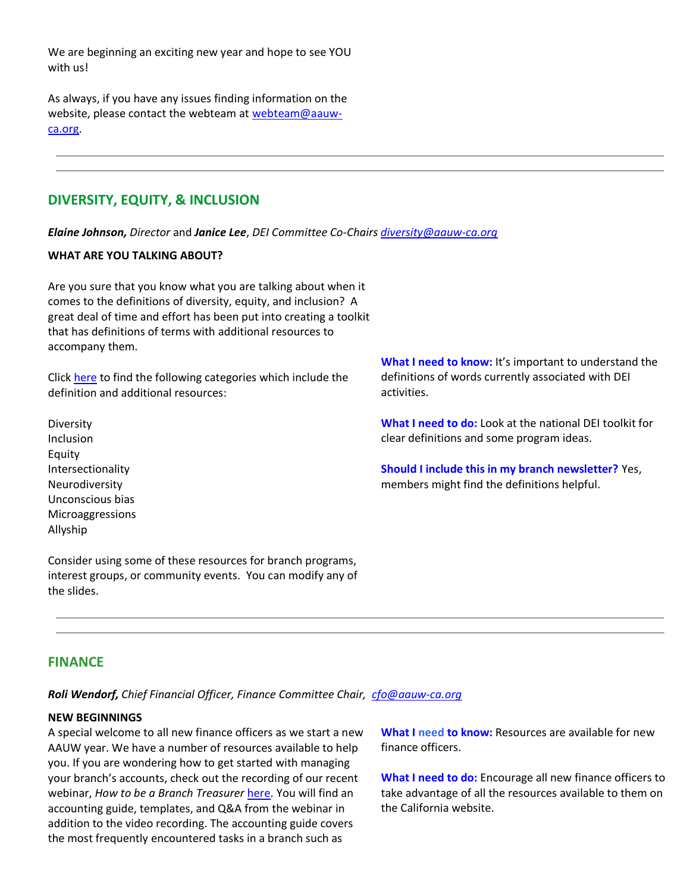We are beginning an exciting new year and hope to see YOU with us!

As always, if you have any issues finding information on the website, please contact the webteam at [webteam@aauw](mailto:webteam@aauw-ca.org)[ca.org.](mailto:webteam@aauw-ca.org)

## **DIVERSITY, EQUITY, & INCLUSION**

*Elaine Johnson, Director* and *Janice Lee*, *DEI Committee Co-Chairs [diversity@aauw-ca.org](mailto:diversity@aauw-ca.org)*

#### **WHAT ARE YOU TALKING ABOUT?**

Are you sure that you know what you are talking about when it comes to the definitions of diversity, equity, and inclusion? A great deal of time and effort has been put into creating a toolkit that has definitions of terms with additional resources to accompany them.

Clic[k here](https://bor.aauw-ca.org/sendy/l/YlrJ763AeyF892b51vFm0EptRw/72IUqY4892piO9pLq8a7638928GQ/dUz0LM42x9DZBwdO1z1TTA) to find the following categories which include the definition and additional resources:

Diversity Inclusion Equity Intersectionality Neurodiversity Unconscious bias Microaggressions Allyship

Consider using some of these resources for branch programs, interest groups, or community events. You can modify any of the slides.

**What I need to know:** It's important to understand the definitions of words currently associated with DEI activities.

**What I need to do:** Look at the national DEI toolkit for clear definitions and some program ideas.

**Should I include this in my branch newsletter?** Yes, members might find the definitions helpful.

## **FINANCE**

*Roli Wendorf, Chief Financial Officer, Finance Committee Chair, [cfo@aauw-ca.org](mailto:cfo@aauw-ca.org)*

#### **NEW BEGINNINGS**

A special welcome to all new finance officers as we start a new AAUW year. We have a number of resources available to help you. If you are wondering how to get started with managing your branch's accounts, check out the recording of our recent webinar, *How to be a Branch Treasurer* [here.](https://bor.aauw-ca.org/sendy/l/YlrJ763AeyF892b51vFm0EptRw/7yV8EkFkKzHG6EIHpaeCCg/dUz0LM42x9DZBwdO1z1TTA) You will find an accounting guide, templates, and Q&A from the webinar in addition to the video recording. The accounting guide covers the most frequently encountered tasks in a branch such as

**What I need to know:** Resources are available for new finance officers.

**What I need to do:** Encourage all new finance officers to take advantage of all the resources available to them on the California website.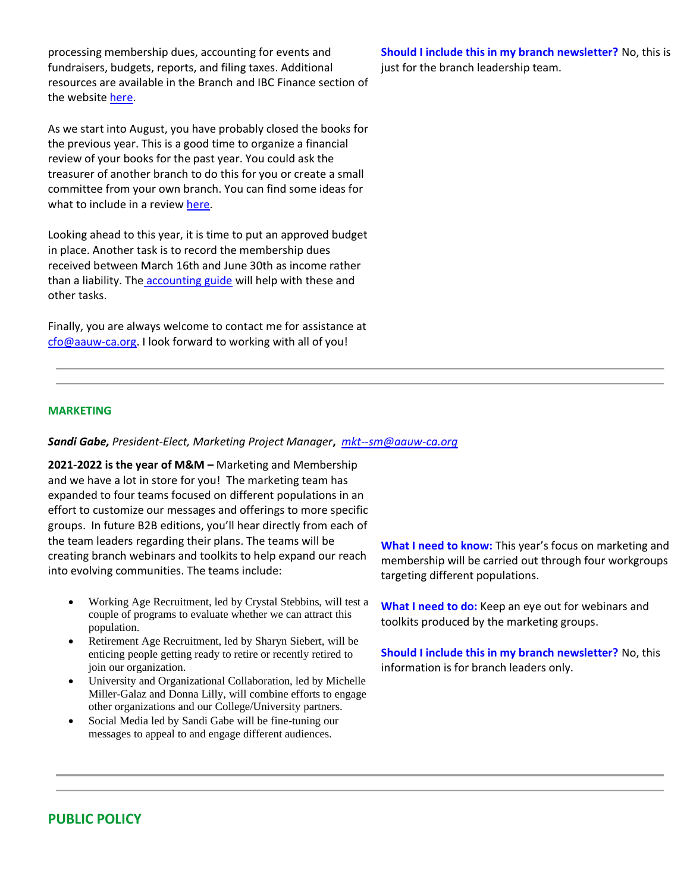processing membership dues, accounting for events and fundraisers, budgets, reports, and filing taxes. Additional resources are available in the Branch and IBC Finance section of the website [here.](https://bor.aauw-ca.org/sendy/l/YlrJ763AeyF892b51vFm0EptRw/892UuhgIVTqQjLg2HtFu763HDQ/dUz0LM42x9DZBwdO1z1TTA)

As we start into August, you have probably closed the books for the previous year. This is a good time to organize a financial review of your books for the past year. You could ask the treasurer of another branch to do this for you or create a small committee from your own branch. You can find some ideas for what to include in a review [here.](https://bor.aauw-ca.org/sendy/l/YlrJ763AeyF892b51vFm0EptRw/gTeZLQBu2530G9892vQqBtrw/dUz0LM42x9DZBwdO1z1TTA)

Looking ahead to this year, it is time to put an approved budget in place. Another task is to record the membership dues received between March 16th and June 30th as income rather than a liability. The [accounting guide](https://bor.aauw-ca.org/sendy/l/YlrJ763AeyF892b51vFm0EptRw/75RGMzAJtOAg7NExzQIZ9w/dUz0LM42x9DZBwdO1z1TTA) will help with these and other tasks.

Finally, you are always welcome to contact me for assistance at [cfo@aauw-ca.org.](mailto:cfo@aauw-ca.org) I look forward to working with all of you!

**Should I include this in my branch newsletter?** No, this is just for the branch leadership team.

## **MARKETING**

#### *Sandi Gabe, President-Elect, Marketing Project Manager***,** *[mkt--sm@aauw-ca.org](mailto:mkt--sm@aauw-ca.org)*

**2021-2022 is the year of M&M –** Marketing and Membership and we have a lot in store for you! The marketing team has expanded to four teams focused on different populations in an effort to customize our messages and offerings to more specific groups. In future B2B editions, you'll hear directly from each of the team leaders regarding their plans. The teams will be creating branch webinars and toolkits to help expand our reach into evolving communities. The teams include:

- Working Age Recruitment, led by Crystal Stebbins, will test a couple of programs to evaluate whether we can attract this population.
- Retirement Age Recruitment, led by Sharyn Siebert, will be enticing people getting ready to retire or recently retired to join our organization.
- University and Organizational Collaboration, led by Michelle Miller-Galaz and Donna Lilly, will combine efforts to engage other organizations and our College/University partners.
- Social Media led by Sandi Gabe will be fine-tuning our messages to appeal to and engage different audiences.

**What I need to know:** This year's focus on marketing and membership will be carried out through four workgroups targeting different populations.

**What I need to do:** Keep an eye out for webinars and toolkits produced by the marketing groups.

**Should I include this in my branch newsletter?** No, this information is for branch leaders only.

## **PUBLIC POLICY**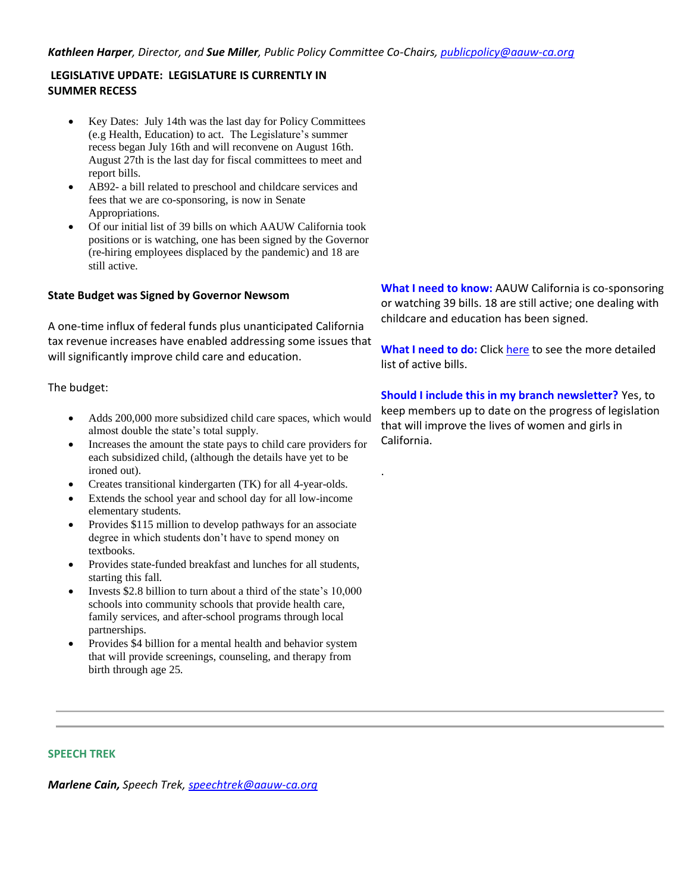#### *Kathleen Harper, Director, and Sue Miller, Public Policy Committee Co-Chairs, [publicpolicy@aauw-ca.org](mailto:PublicPolicy@aauw-ca.org)*

## **LEGISLATIVE UPDATE: LEGISLATURE IS CURRENTLY IN SUMMER RECESS**

- Key Dates: July 14th was the last day for Policy Committees (e.g Health, Education) to act. The Legislature's summer recess began July 16th and will reconvene on August 16th. August 27th is the last day for fiscal committees to meet and report bills.
- AB92- a bill related to preschool and childcare services and fees that we are co-sponsoring, is now in Senate Appropriations.
- Of our initial list of 39 bills on which AAUW California took positions or is watching, one has been signed by the Governor (re-hiring employees displaced by the pandemic) and 18 are still active.

#### **State Budget was Signed by Governor Newsom**

A one-time influx of federal funds plus unanticipated California tax revenue increases have enabled addressing some issues that will significantly improve child care and education.

#### The budget:

- Adds 200,000 more subsidized child care spaces, which would almost double the state's total supply.
- Increases the amount the state pays to child care providers for each subsidized child, (although the details have yet to be ironed out).
- Creates transitional kindergarten (TK) for all 4-year-olds.
- Extends the school year and school day for all low-income elementary students.
- Provides \$115 million to develop pathways for an associate degree in which students don't have to spend money on textbooks.
- Provides state-funded breakfast and lunches for all students, starting this fall.
- Invests \$2.8 billion to turn about a third of the state's 10,000 schools into community schools that provide health care, family services, and after-school programs through local partnerships.
- Provides \$4 billion for a mental health and behavior system that will provide screenings, counseling, and therapy from birth through age 25.

**What I need to know:** AAUW California is co-sponsoring or watching 39 bills. 18 are still active; one dealing with childcare and education has been signed.

**What I need to do:** Click [here](https://bor.aauw-ca.org/sendy/l/YlrJ763AeyF892b51vFm0EptRw/wyMUDU1ENjboc5892qkQ6CkQ/dUz0LM42x9DZBwdO1z1TTA) to see the more detailed list of active bills.

**Should I include this in my branch newsletter?** Yes, to keep members up to date on the progress of legislation that will improve the lives of women and girls in California.

.

#### **SPEECH TREK**

*Marlene Cain, Speech Trek, [speechtrek@aauw-ca.org](mailto:speechtrek@aauw-ca.org)*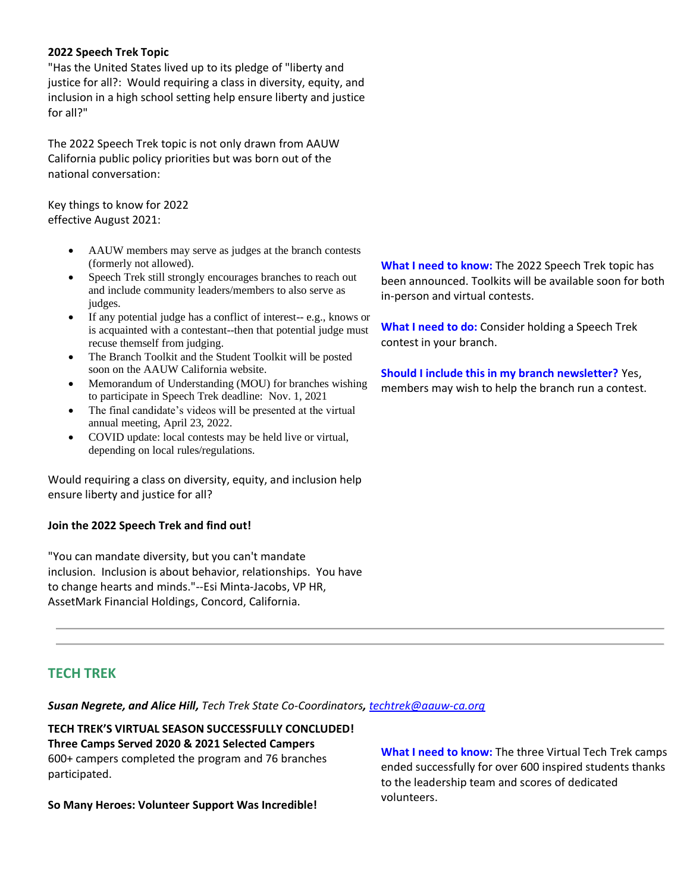### **2022 Speech Trek Topic**

"Has the United States lived up to its pledge of "liberty and justice for all?: Would requiring a class in diversity, equity, and inclusion in a high school setting help ensure liberty and justice for all?"

The 2022 Speech Trek topic is not only drawn from AAUW California public policy priorities but was born out of the national conversation:

Key things to know for 2022 effective August 2021:

- AAUW members may serve as judges at the branch contests (formerly not allowed).
- Speech Trek still strongly encourages branches to reach out and include community leaders/members to also serve as judges.
- If any potential judge has a conflict of interest-- e.g., knows or is acquainted with a contestant--then that potential judge must recuse themself from judging.
- The Branch Toolkit and the Student Toolkit will be posted soon on the AAUW California website.
- Memorandum of Understanding (MOU) for branches wishing to participate in Speech Trek deadline: Nov. 1, 2021
- The final candidate's videos will be presented at the virtual annual meeting, April 23, 2022.
- COVID update: local contests may be held live or virtual, depending on local rules/regulations.

Would requiring a class on diversity, equity, and inclusion help ensure liberty and justice for all?

## **Join the 2022 Speech Trek and find out!**

"You can mandate diversity, but you can't mandate inclusion. Inclusion is about behavior, relationships. You have to change hearts and minds."--Esi Minta-Jacobs, VP HR, AssetMark Financial Holdings, Concord, California.

**What I need to know:** The 2022 Speech Trek topic has been announced. Toolkits will be available soon for both in-person and virtual contests.

**What I need to do:** Consider holding a Speech Trek contest in your branch.

**Should I include this in my branch newsletter?** Yes, members may wish to help the branch run a contest.

## **TECH TREK**

*Susan Negrete, and Alice Hill, Tech Trek State Co-Coordinators, [techtrek@aauw-ca.org](mailto:techtrek@aauw-ca.org)*

**TECH TREK'S VIRTUAL SEASON SUCCESSFULLY CONCLUDED! Three Camps Served 2020 & 2021 Selected Campers** 600+ campers completed the program and 76 branches participated.

**So Many Heroes: Volunteer Support Was Incredible!**

**What I need to know:** The three Virtual Tech Trek camps ended successfully for over 600 inspired students thanks to the leadership team and scores of dedicated volunteers.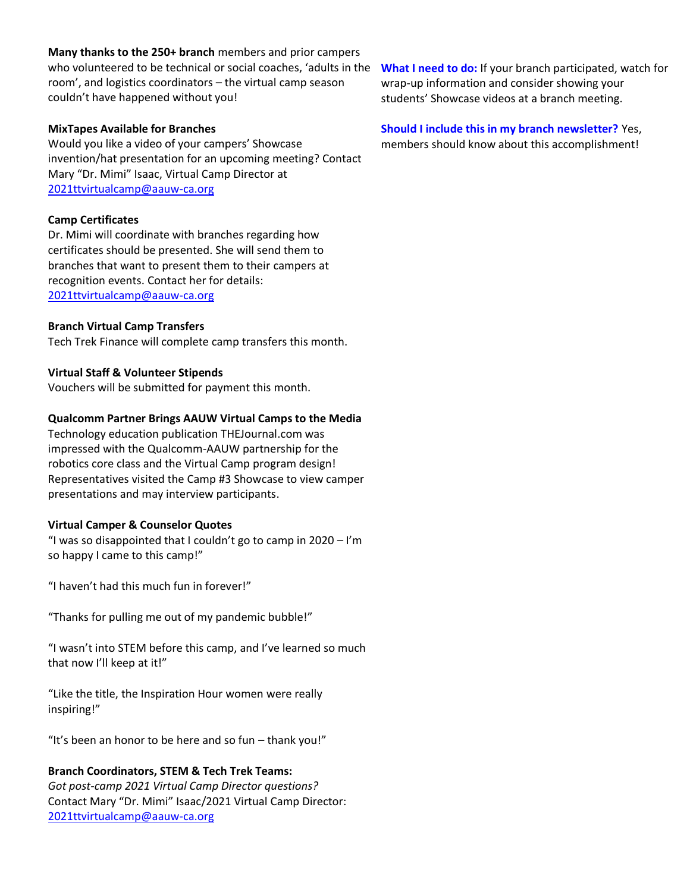#### **Many thanks to the 250+ branch** members and prior campers

who volunteered to be technical or social coaches, 'adults in the **What I need to do:** If your branch participated, watch for room', and logistics coordinators – the virtual camp season couldn't have happened without you!

#### **MixTapes Available for Branches**

Would you like a video of your campers' Showcase invention/hat presentation for an upcoming meeting? Contact Mary "Dr. Mimi" Isaac, Virtual Camp Director at [2021ttvirtualcamp@aauw-ca.org](mailto:2021ttvirtualcamp@aauw-ca.org)

#### **Camp Certificates**

Dr. Mimi will coordinate with branches regarding how certificates should be presented. She will send them to branches that want to present them to their campers at recognition events. Contact her for details: [2021ttvirtualcamp@aauw-ca.org](mailto:2021ttvirtualcamp@aauw-ca.org)

#### **Branch Virtual Camp Transfers**

Tech Trek Finance will complete camp transfers this month.

#### **Virtual Staff & Volunteer Stipends**

Vouchers will be submitted for payment this month.

#### **Qualcomm Partner Brings AAUW Virtual Camps to the Media**

Technology education publication THEJournal.com was impressed with the Qualcomm-AAUW partnership for the robotics core class and the Virtual Camp program design! Representatives visited the Camp #3 Showcase to view camper presentations and may interview participants.

#### **Virtual Camper & Counselor Quotes**

"I was so disappointed that I couldn't go to camp in  $2020 - I'm$ so happy I came to this camp!"

"I haven't had this much fun in forever!"

"Thanks for pulling me out of my pandemic bubble!"

"I wasn't into STEM before this camp, and I've learned so much that now I'll keep at it!"

"Like the title, the Inspiration Hour women were really inspiring!"

"It's been an honor to be here and so fun – thank you!"

## **Branch Coordinators, STEM & Tech Trek Teams:**

*Got post-camp 2021 Virtual Camp Director questions?* Contact Mary "Dr. Mimi" Isaac/2021 Virtual Camp Director: [2021ttvirtualcamp@aauw-ca.org](mailto:2021ttvirtualcamp@aauw-ca.org)

wrap-up information and consider showing your students' Showcase videos at a branch meeting.

# **Should I include this in my branch newsletter?** Yes,

members should know about this accomplishment!